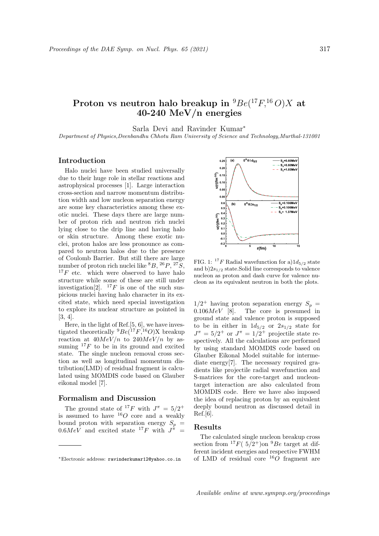# Proton vs neutron halo breakup in  $^{9}Be(^{17}F, ^{16}O)X$  at 40-240 MeV/n energies

Sarla Devi and Ravinder Kumar<sup>∗</sup>

Department of Physics,Deenbandhu Chhotu Ram University of Science and Technology,Murthal-131001

### Introduction

Halo nuclei have been studied universally due to their huge role in stellar reactions and astrophysical processes [1]. Large interaction cross-section and narrow momentum distribution width and low nucleon separation energy are some key characteristics among these exotic nuclei. These days there are large number of proton rich and neutron rich nuclei lying close to the drip line and having halo or skin structure. Among these exotic nuclei, proton halos are less pronounce as compared to neutron halos due to the presence of Coulomb Barrier. But still there are large number of proton rich nuclei like  ${}^{8}B, {}^{26}P, {}^{27}S,$  $17F$  etc. which were observed to have halo structure while some of these are still under investigation<sup>[2]</sup>. <sup>17</sup>F is one of the such suspicious nuclei having halo character in its excited state, which need special investigation to explore its nuclear structure as pointed in [3, 4].

Here, in the light of Ref.[5, 6], we have investigated theoretically  ${}^{9}Be({}^{17}F,{}^{16}O)X$  breakup reaction at  $40MeV/n$  to  $240MeV/n$  by assuming  $^{17}F$  to be in its ground and excited state. The single nucleon removal cross section as well as longitudinal momentum distribution(LMD) of residual fragment is calculated using MOMDIS code based on Glauber eikonal model [7].

#### Formalism and Discussion

The ground state of <sup>17</sup>F with  $J^{\pi} = 5/2^{+}$ is assumed to have  ${}^{16}O$  core and a weakly bound proton with separation energy  $S_p =$  $0.6MeV$  and excited state <sup>17</sup>F with  $J^{\hat{\pi}}$  =



FIG. 1: <sup>17</sup>F Radial wavefunction for a) $1d_{5/2}$  state and b) $2s_{1/2}$  state. Solid line corresponds to valence nucleon as proton and dash curve for valence nucleon as its equivalent neutron in both the plots.

 $1/2^+$  having proton separation energy  $S_p =$  $0.106MeV$  [8]. The core is presumed in ground state and valence proton is supposed to be in either in  $1d_{5/2}$  or  $2s_{1/2}$  state for  $J^{\pi} = 5/2^{+}$  or  $J^{\pi} = 1/2^{+}$  projectile state respectively. All the calculations are performed by using standard MOMDIS code based on Glauber Eikonal Model suitable for intermediate energy<sup>[7]</sup>. The necessary required gradients like projectile radial wavefunction and S-matrices for the core-target and nucleontarget interaction are also calculated from MOMDIS code. Here we have also imposed the idea of replacing proton by an equivalent deeply bound neutron as discussed detail in Ref.[6].

#### Results

The calculated single nucleon breakup cross section from  ${}^{17}F(5/2^+)$ on  ${}^{9}Be$  target at different incident energies and respective FWHM of LMD of residual core  ${}^{16}O$  fragment are

<sup>∗</sup>Electronic address: ravinderkumar12@yahoo.co.in